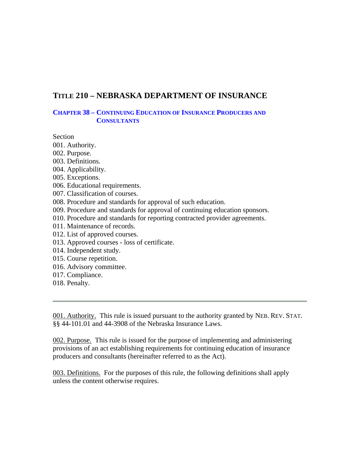# **TITLE 210 – NEBRASKA DEPARTMENT OF INSURANCE**

## **CHAPTER 38 – CONTINUING EDUCATION OF INSURANCE PRODUCERS AND CONSULTANTS**

Section

- 001. Authority.
- 002. Purpose.
- 003. Definitions.
- 004. Applicability.
- 005. Exceptions.
- 006. Educational requirements.
- 007. Classification of courses.
- 008. Procedure and standards for approval of such education.
- 009. Procedure and standards for approval of continuing education sponsors.
- 010. Procedure and standards for reporting contracted provider agreements.
- 011. Maintenance of records.
- 012. List of approved courses.
- 013. Approved courses loss of certificate.
- 014. Independent study.
- 015. Course repetition.
- 016. Advisory committee.
- 017. Compliance.
- 018. Penalty.

001. Authority. This rule is issued pursuant to the authority granted by NEB. REV. STAT. §§ 44-101.01 and 44-3908 of the Nebraska Insurance Laws.

002. Purpose. This rule is issued for the purpose of implementing and administering provisions of an act establishing requirements for continuing education of insurance producers and consultants (hereinafter referred to as the Act).

003. Definitions. For the purposes of this rule, the following definitions shall apply unless the content otherwise requires.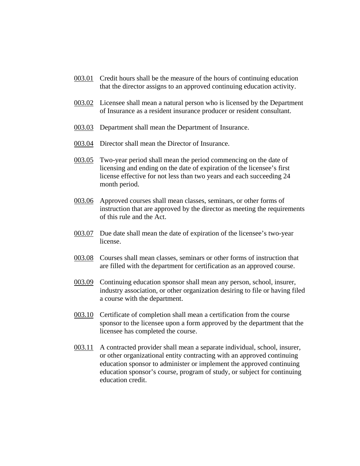- 003.01 Credit hours shall be the measure of the hours of continuing education that the director assigns to an approved continuing education activity.
- 003.02 Licensee shall mean a natural person who is licensed by the Department of Insurance as a resident insurance producer or resident consultant.
- 003.03 Department shall mean the Department of Insurance.
- 003.04 Director shall mean the Director of Insurance.
- 003.05 Two-year period shall mean the period commencing on the date of licensing and ending on the date of expiration of the licensee's first license effective for not less than two years and each succeeding 24 month period.
- 003.06 Approved courses shall mean classes, seminars, or other forms of instruction that are approved by the director as meeting the requirements of this rule and the Act.
- 003.07 Due date shall mean the date of expiration of the licensee's two-year license.
- 003.08 Courses shall mean classes, seminars or other forms of instruction that are filled with the department for certification as an approved course.
- 003.09 Continuing education sponsor shall mean any person, school, insurer, industry association, or other organization desiring to file or having filed a course with the department.
- 003.10 Certificate of completion shall mean a certification from the course sponsor to the licensee upon a form approved by the department that the licensee has completed the course.
- 003.11 A contracted provider shall mean a separate individual, school, insurer, or other organizational entity contracting with an approved continuing education sponsor to administer or implement the approved continuing education sponsor's course, program of study, or subject for continuing education credit.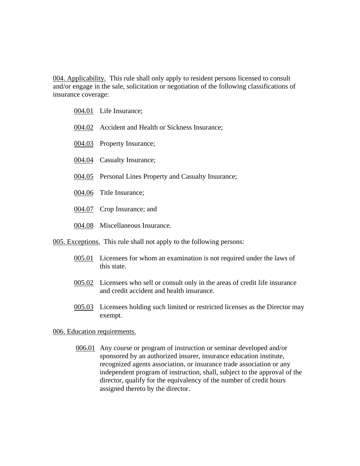004. Applicability. This rule shall only apply to resident persons licensed to consult and/or engage in the sale, solicitation or negotiation of the following classifications of insurance coverage:

- 004.01 Life Insurance;
- 004.02 Accident and Health or Sickness Insurance;
- 004.03 Property Insurance;
- 004.04 Casualty Insurance;
- 004.05 Personal Lines Property and Casualty Insurance;
- 004.06 Title Insurance;
- 004.07 Crop Insurance; and
- 004.08 Miscellaneous Insurance.

005. Exceptions. This rule shall not apply to the following persons:

- 005.01 Licensees for whom an examination is not required under the laws of this state.
- 005.02 Licensees who sell or consult only in the areas of credit life insurance and credit accident and health insurance.
- 005.03 Licensees holding such limited or restricted licenses as the Director may exempt.

#### 006. Education requirements.

 006.01 Any course or program of instruction or seminar developed and/or sponsored by an authorized insurer, insurance education institute, recognized agents association, or insurance trade association or any independent program of instruction, shall, subject to the approval of the director, qualify for the equivalency of the number of credit hours assigned thereto by the director.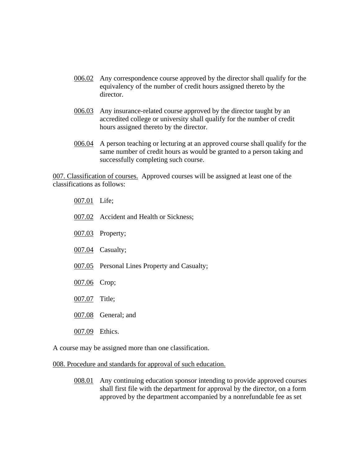- 006.02 Any correspondence course approved by the director shall qualify for the equivalency of the number of credit hours assigned thereto by the director.
- 006.03 Any insurance-related course approved by the director taught by an accredited college or university shall qualify for the number of credit hours assigned thereto by the director.
- 006.04 A person teaching or lecturing at an approved course shall qualify for the same number of credit hours as would be granted to a person taking and successfully completing such course.

007. Classification of courses. Approved courses will be assigned at least one of the classifications as follows:

- 007.01 Life;
- 007.02 Accident and Health or Sickness;
- 007.03 Property;
- 007.04 Casualty;
- 007.05 Personal Lines Property and Casualty;
- 007.06 Crop;
- 007.07 Title;
- 007.08 General; and
- 007.09 Ethics.

A course may be assigned more than one classification.

#### 008. Procedure and standards for approval of such education.

008.01 Any continuing education sponsor intending to provide approved courses shall first file with the department for approval by the director, on a form approved by the department accompanied by a nonrefundable fee as set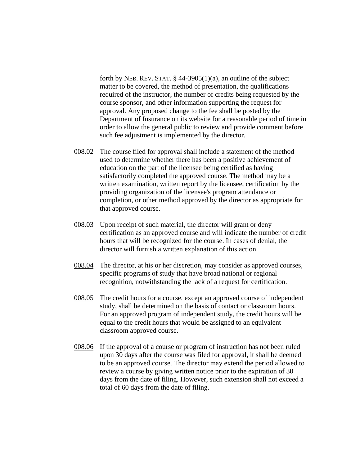forth by NEB. REV. STAT.  $\S$  44-3905(1)(a), an outline of the subject matter to be covered, the method of presentation, the qualifications required of the instructor, the number of credits being requested by the course sponsor, and other information supporting the request for approval. Any proposed change to the fee shall be posted by the Department of Insurance on its website for a reasonable period of time in order to allow the general public to review and provide comment before such fee adjustment is implemented by the director.

- 008.02 The course filed for approval shall include a statement of the method used to determine whether there has been a positive achievement of education on the part of the licensee being certified as having satisfactorily completed the approved course. The method may be a written examination, written report by the licensee, certification by the providing organization of the licensee's program attendance or completion, or other method approved by the director as appropriate for that approved course.
- 008.03 Upon receipt of such material, the director will grant or deny certification as an approved course and will indicate the number of credit hours that will be recognized for the course. In cases of denial, the director will furnish a written explanation of this action.
- 008.04 The director, at his or her discretion, may consider as approved courses, specific programs of study that have broad national or regional recognition, notwithstanding the lack of a request for certification.
- 008.05 The credit hours for a course, except an approved course of independent study, shall be determined on the basis of contact or classroom hours. For an approved program of independent study, the credit hours will be equal to the credit hours that would be assigned to an equivalent classroom approved course.
- 008.06 If the approval of a course or program of instruction has not been ruled upon 30 days after the course was filed for approval, it shall be deemed to be an approved course. The director may extend the period allowed to review a course by giving written notice prior to the expiration of 30 days from the date of filing. However, such extension shall not exceed a total of 60 days from the date of filing.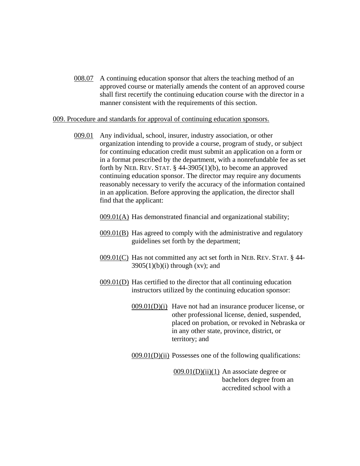008.07 A continuing education sponsor that alters the teaching method of an approved course or materially amends the content of an approved course shall first recertify the continuing education course with the director in a manner consistent with the requirements of this section.

#### 009. Procedure and standards for approval of continuing education sponsors.

009.01 Any individual, school, insurer, industry association, or other organization intending to provide a course, program of study, or subject for continuing education credit must submit an application on a form or in a format prescribed by the department, with a nonrefundable fee as set forth by NEB. REV. STAT. § 44-3905(1)(b), to become an approved continuing education sponsor. The director may require any documents reasonably necessary to verify the accuracy of the information contained in an application. Before approving the application, the director shall find that the applicant:

009.01(A) Has demonstrated financial and organizational stability;

- 009.01(B) Has agreed to comply with the administrative and regulatory guidelines set forth by the department;
- 009.01(C) Has not committed any act set forth in NEB. REV. STAT. § 44-  $3905(1)(b)(i)$  through  $(xv)$ ; and
- 009.01(D) Has certified to the director that all continuing education instructors utilized by the continuing education sponsor:
	- $009.01(D)(i)$  Have not had an insurance producer license, or other professional license, denied, suspended, placed on probation, or revoked in Nebraska or in any other state, province, district, or territory; and

 $009.01(D)(ii)$  Possesses one of the following qualifications:

 $009.01(D)(ii)(1)$  An associate degree or bachelors degree from an accredited school with a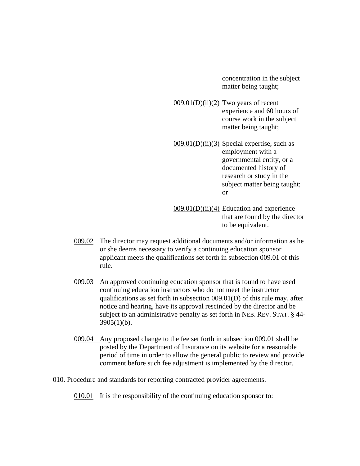concentration in the subject matter being taught;

- $009.01(D)(ii)(2)$  Two years of recent experience and 60 hours of course work in the subject matter being taught;
- $009.01(D)(ii)(3)$  Special expertise, such as employment with a governmental entity, or a documented history of research or study in the subject matter being taught; or
- $009.01(D)(ii)(4)$  Education and experience that are found by the director to be equivalent.
- 009.02 The director may request additional documents and/or information as he or she deems necessary to verify a continuing education sponsor applicant meets the qualifications set forth in subsection 009.01 of this rule.
- 009.03 An approved continuing education sponsor that is found to have used continuing education instructors who do not meet the instructor qualifications as set forth in subsection 009.01(D) of this rule may, after notice and hearing, have its approval rescinded by the director and be subject to an administrative penalty as set forth in NEB. REV. STAT. § 44-  $3905(1)(b)$ .
- 009.04 Any proposed change to the fee set forth in subsection 009.01 shall be posted by the Department of Insurance on its website for a reasonable period of time in order to allow the general public to review and provide comment before such fee adjustment is implemented by the director.

#### 010. Procedure and standards for reporting contracted provider agreements.

010.01 It is the responsibility of the continuing education sponsor to: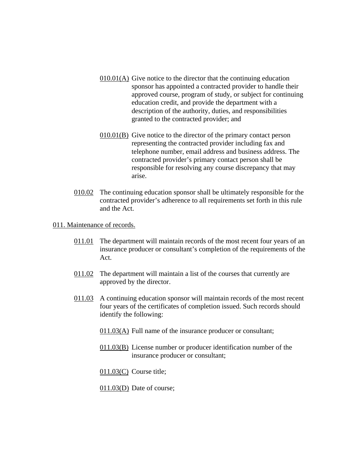- 010.01(A) Give notice to the director that the continuing education sponsor has appointed a contracted provider to handle their approved course, program of study, or subject for continuing education credit, and provide the department with a description of the authority, duties, and responsibilities granted to the contracted provider; and
- $010.01(B)$  Give notice to the director of the primary contact person representing the contracted provider including fax and telephone number, email address and business address. The contracted provider's primary contact person shall be responsible for resolving any course discrepancy that may arise.
- 010.02 The continuing education sponsor shall be ultimately responsible for the contracted provider's adherence to all requirements set forth in this rule and the Act.
- 011. Maintenance of records.
	- 011.01 The department will maintain records of the most recent four years of an insurance producer or consultant's completion of the requirements of the Act.
	- 011.02 The department will maintain a list of the courses that currently are approved by the director.
	- 011.03 A continuing education sponsor will maintain records of the most recent four years of the certificates of completion issued. Such records should identify the following:
		- $011.03(\underline{A})$  Full name of the insurance producer or consultant;
		- 011.03(B) License number or producer identification number of the insurance producer or consultant;
		- $011.03(C)$  Course title;
		- 011.03(D) Date of course;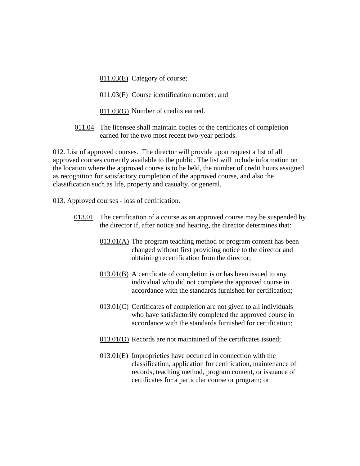011.03(E) Category of course;

- 011.03(F) Course identification number; and
- 011.03(G) Number of credits earned.
- 011.04 The licensee shall maintain copies of the certificates of completion earned for the two most recent two-year periods.

012. List of approved courses. The director will provide upon request a list of all approved courses currently available to the public. The list will include information on the location where the approved course is to be held, the number of credit hours assigned as recognition for satisfactory completion of the approved course, and also the classification such as life, property and casualty, or general.

### 013. Approved courses - loss of certification.

- 013.01 The certification of a course as an approved course may be suspended by the director if, after notice and hearing, the director determines that:
	- 013.01(A) The program teaching method or program content has been changed without first providing notice to the director and obtaining recertification from the director;
	- 013.01(B) A certificate of completion is or has been issued to any individual who did not complete the approved course in accordance with the standards furnished for certification;
	- 013.01(C) Certificates of completion are not given to all individuals who have satisfactorily completed the approved course in accordance with the standards furnished for certification;
	- 013.01(D) Records are not maintained of the certificates issued;
	- 013.01(E) Improprieties have occurred in connection with the classification, application for certification, maintenance of records, teaching method, program content, or issuance of certificates for a particular course or program; or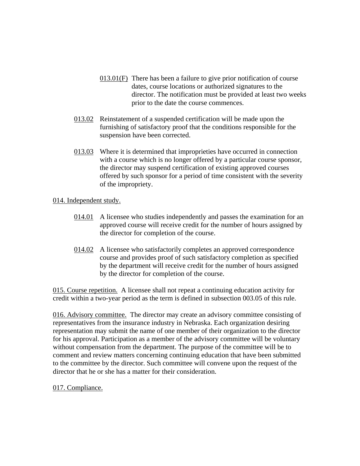- 013.01(F) There has been a failure to give prior notification of course dates, course locations or authorized signatures to the director. The notification must be provided at least two weeks prior to the date the course commences.
- 013.02 Reinstatement of a suspended certification will be made upon the furnishing of satisfactory proof that the conditions responsible for the suspension have been corrected.
- 013.03 Where it is determined that improprieties have occurred in connection with a course which is no longer offered by a particular course sponsor, the director may suspend certification of existing approved courses offered by such sponsor for a period of time consistent with the severity of the impropriety.

### 014. Independent study.

- 014.01 A licensee who studies independently and passes the examination for an approved course will receive credit for the number of hours assigned by the director for completion of the course.
- 014.02 A licensee who satisfactorily completes an approved correspondence course and provides proof of such satisfactory completion as specified by the department will receive credit for the number of hours assigned by the director for completion of the course.

015. Course repetition. A licensee shall not repeat a continuing education activity for credit within a two-year period as the term is defined in subsection 003.05 of this rule.

016. Advisory committee. The director may create an advisory committee consisting of representatives from the insurance industry in Nebraska. Each organization desiring representation may submit the name of one member of their organization to the director for his approval. Participation as a member of the advisory committee will be voluntary without compensation from the department. The purpose of the committee will be to comment and review matters concerning continuing education that have been submitted to the committee by the director. Such committee will convene upon the request of the director that he or she has a matter for their consideration.

# 017. Compliance.